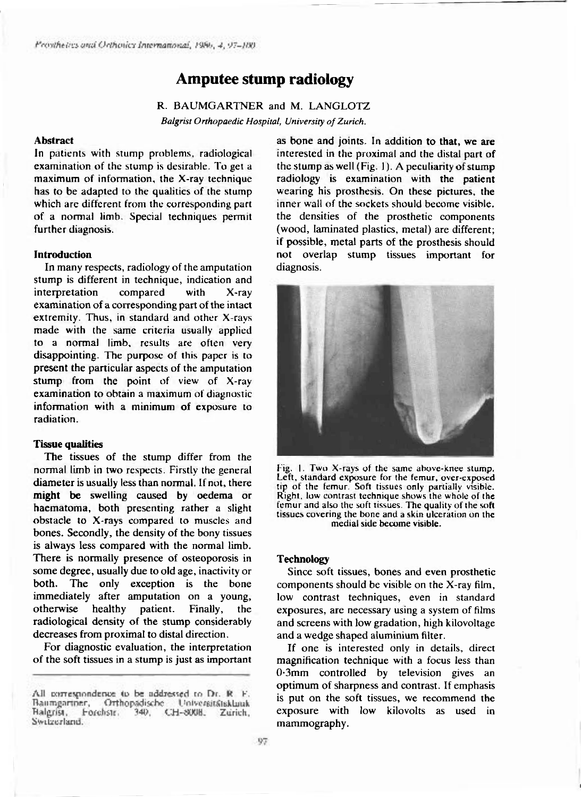# **Amputee stump radiology**

R. BAUMGARTNER and M. LANGLOTZ *Balgrist Orthopaedic Hospital, University of Zurich.* 

#### **Abstrac t**

In patients with stump problems, radiological examination of the stump is desirable. To get a maximum of information, the X-ray technique has to be adapted to the qualities of the stump which are different from the corresponding part of a normal limb. Special techniques permit further diagnosis.

## **Introduction**

In many respects, radiology of the amputation stump is different in technique, indication and interpretation compared with X-ray examination of a corresponding part of the intact extremity. Thus, in standard and other X-rays made with the same criteria usually applied to a normal limb, results are often very disappointing. The purpose of this paper is to present the particular aspects of the amputation stump from the point of view of X-ray examination to obtain a maximum of diagnostic information with a minimum of exposure to radiation.

## **Tissue qualities**

The tissues of the stump differ from the normal limb in two respects. Firstly the general diameter is usually less than normal. If not, there might be swelling caused by oedema or haematoma, both presenting rather a slight obstacle to X-rays compared to muscles and bones. Secondly, the density of the bony tissues is always less compared with the normal limb. There is normally presence of osteoporosis in some degree, usually due to old age, inactivity or both. The only exception is the bone immediately after amputation on a young, otherwise healthy patient. Finally, the radiological density of the stump considerably decreases from proximal to distal direction.

For diagnostic evaluation, the interpretation of the soft tissues in a stump is just as important

as bone and joints. In addition to that, we are interested in the proximal and the distal part of the stump as well (Fig. 1). A peculiarity of stump radiology is examination with the patient wearing his prosthesis. On these pictures, the inner wall of the sockets should become visible. the densities of the prosthetic components (wood, laminated plastics, metal) are different; if possible, metal parts of the prosthesis should not overlap stump tissues important for diagnosis.



**Fig. 1. Two X-rays of the same above-knee stump. Left, standard exposure for the femur, over-exposed tip of the femur. Soft tissues only partially visible. Right, low contrast technique shows the whole of the femur and also the soft tissues. The quality of the soft tissues covering the bone and a skin ulceration on the medial side become visible.** 

### **Technolog y**

Since soft tissues, bones and even prosthetic components should be visible on the  $X$ -ray film, low contrast techniques, even in standard exposures, are necessary using a system of films and screens with low gradation, high kilovoltage and a wedge shaped aluminium filter.

If one is interested only in details, direct magnification technique with a focus less than  $0.3$ mm controlled by television gives an optimum of sharpness and contrast. If emphasis is put on the soft tissues, we recommend the exposure with low kilovolts as used in mammography.

All correspondence to be addressed to Dr. R. F. Baumgartner, Orthopadische Universitätsklauk Halgrist, Forchstr. 340, CH-800B. Zurich, Switzerland.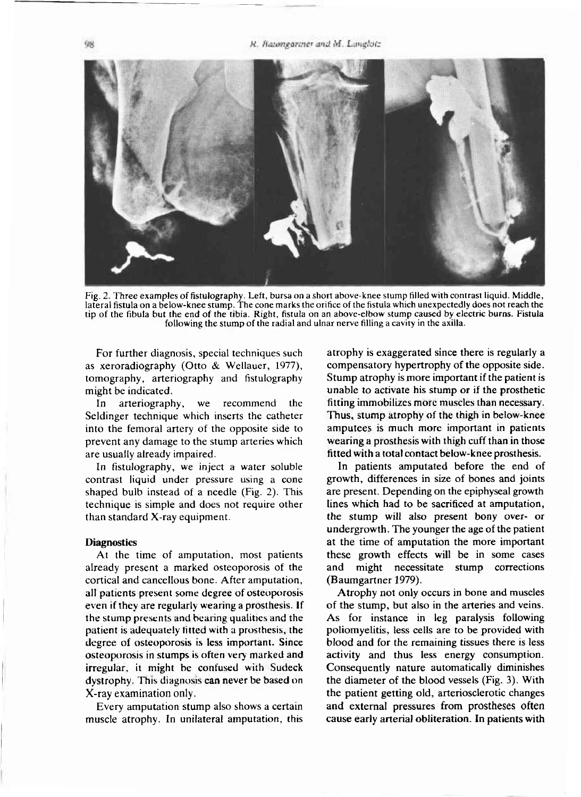R. Baumgariner and M. Langlotz



**Fig. 2. Three examples of fistulography. Left, bursa on a short above-knee stump filled with contrast liquid. Middle, lateral fistula on a below-knee stump. The cone marks the orifice of the fistula which unexpectedly does not reach the tip of the fibula but the end of the tibia. Right, fistula on an above-elbow stump caused by electric burns. Fistula following the stump of the radial and ulnar nerve filling a cavity in the axilla.** 

For further diagnosis, special techniques such as xeroradiography (Otto & Wellauer, 1977), tomography, arteriography and fistulography might be indicated.

In arteriography, we recommend the Seldinger technique which inserts the catheter into the femoral artery of the opposite side to prevent any damage to the stump arteries which are usually already impaired.

In fistulography, we inject a water soluble contrast liquid under pressure using a cone shaped bulb instead of a needle (Fig. 2). This technique is simple and does not require other than standard  $X$ -ray equipment.

# **Diagnostic s**

At the time of amputation, most patients already present a marked osteoporosis of the cortical and cancellous bone. After amputation, all patients present some degree of osteoporosis even if they are regularly wearing a prosthesis. If the stump presents and bearing qualities and the patient is adequately fitted with a prosthesis, the degree of osteoporosis is less important. Since osteoporosis in stumps is often very marked and irregular, it might be confused with Sudeck dystrophy. This diagnosis can never be based on X-ray examination only.

Every amputation stump also shows a certain muscle atrophy. In unilateral amputation, this atrophy is exaggerated since there is regularly a compensatory hypertrophy of the opposite side. Stump atrophy is more important if the patient is unable to activate his stump or if the prosthetic fitting immobilizes more muscles than necessary. Thus, stump atrophy of the thigh in below-knee amputees is much more important in patients wearing a prosthesis with thigh cuff than in those fitted with a total contact below-knee prosthesis.

In patients amputated before the end of growth, differences in size of bones and joints are present. Depending on the epiphyseal growth lines which had to be sacrificed at amputation, the stump will also present bony over- or undergrowth. The younger the age of the patient at the time of amputation the more important these growth effects will be in some cases and might necessitate stump corrections (Baumgartner 1979).

Atrophy not only occurs in bone and muscles of the stump, but also in the arteries and veins. As for instance in leg paralysis following poliomyelitis, less cells are to be provided with blood and for the remaining tissues there is less activity and thus less energy consumption. Consequently nature automatically diminishes the diameter of the blood vessels (Fig. 3). With the patient getting old, arteriosclerotic changes and external pressures from prostheses often cause early arterial obliteration. In patients with

98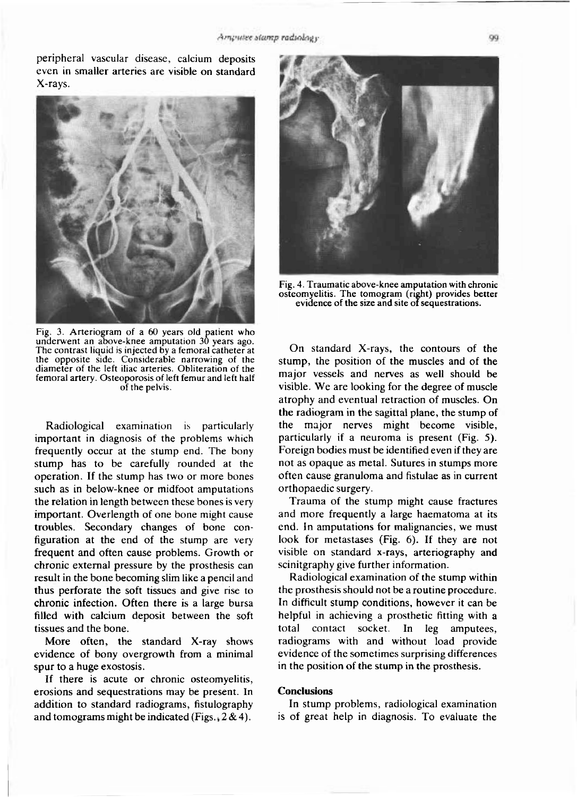peripheral vascular disease, calcium deposits even in smaller arteries are visible on standard X-rays.



**Fig. 3. Arteriogram of a 60 years old patient who underwent an above-knee amputation 30 years ago. The contrast liquid is injected by a femoral catheter at the opposite side. Considerable narrowing of the diameter of the left iliac arteries. Obliteration of the femoral artery. Osteoporosis of left femur and left half of the pelvis.** 

Radiological examination is particularly important in diagnosis of the problems which frequently occur at the stump end. The bony stump has to be carefully rounded at the operation. If the stump has two or more bones such as in below-knee or midfoot amputations the relation in length between these bones is very important. Overlength of one bone might cause troubles. Secondary changes of bone configuration at the end of the stump are very frequent and often cause problems. Growth or chronic external pressure by the prosthesis can result in the bone becoming slim like a pencil and thus perforate the soft tissues and give rise to chronic infection. Often there is a large bursa filled with calcium deposit between the soft tissues and the bone.

More often, the standard X-ray shows evidence of bony overgrowth from a minimal spur to a huge exostosis.

If there is acute or chronic osteomyelitis, erosions and sequestrations may be present. In addition to standard radiograms, fistulography and tomograms might be indicated (Figs.,  $2 \& 4$ ).



**Fig. 4. Traumatic above-knee amputation with chronic osteomyelitis. The tomogram (right) provides better evidence of the size and site of sequestrations.** 

On standard X-rays, the contours of the stump, the position of the muscles and of the major vessels and nerves as well should be visible. We are looking for the degree of muscle atrophy and eventual retraction of muscles. On the radiogram in the sagittal plane, the stump of the major nerves might become visible, particularly if a neuroma is present (Fig. 5). Foreign bodies must be identified even if they are not as opaque as metal. Sutures in stumps more often cause granuloma and fistulae as in current orthopaedic surgery.

Trauma of the stump might cause fractures and more frequently a large haematoma at its end. In amputations for malignancies, we must look for metastases (Fig. 6). If they are not visible on standard x-rays, arteriography and scinitgraphy give further information.

Radiological examination of the stump within the prosthesis should not be a routine procedure. In difficult stump conditions, however it can be helpful in achieving a prosthetic fitting with a total contact socket. In leg amputees, radiograms with and without load provide evidence of the sometimes surprising differences in the position of the stump in the prosthesis.

# **Conclusions**

In stump problems, radiological examination is of great help in diagnosis. To evaluate the